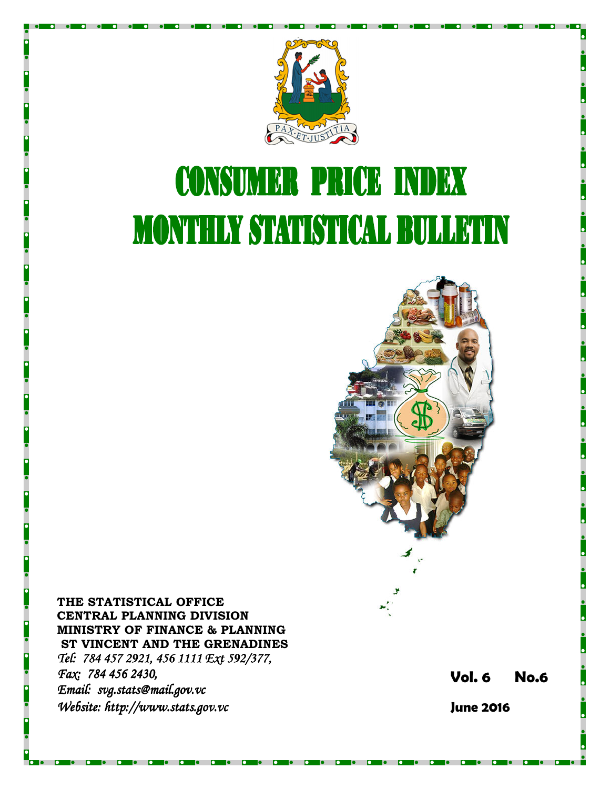

# **CONSUMER PRICE INDEX MONTHLY STATISTICAL BULLETIN**



THE STATISTICAL OFFICE CENTRAL PLANNING DIVISION MINISTRY OF FINANCE & PLANNING ST VINCENT AND THE GRENADINES Tel: 784 457 2921, 456 1111 Ext 592/377, Fax: 784 456 2430, Email: svg.stats@mail.gov.vc Website: http://www.stats.gov.vc

Vol. 6 No.6

June 2016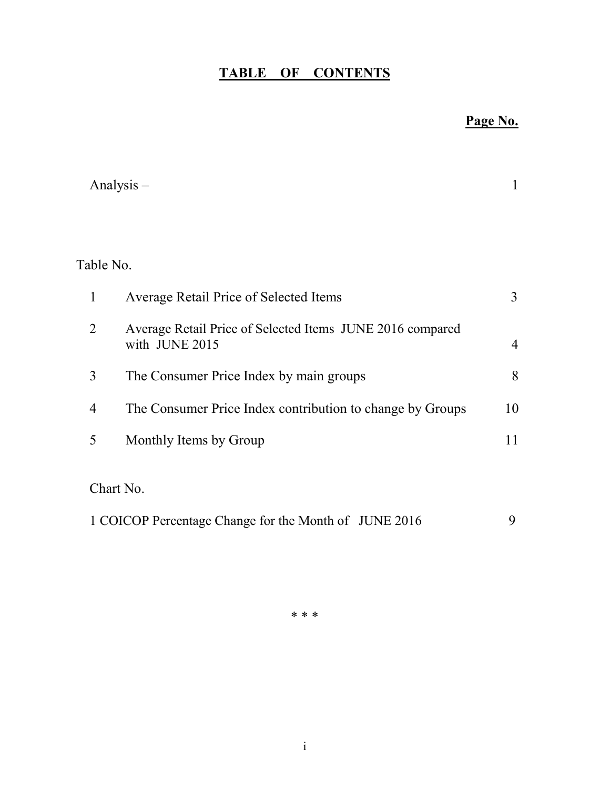## TABLE OF CONTENTS

## Page No.

|                | Analysis $-$                                                                | 1              |
|----------------|-----------------------------------------------------------------------------|----------------|
|                |                                                                             |                |
| Table No.      |                                                                             |                |
| $\mathbf{1}$   | Average Retail Price of Selected Items                                      | 3              |
| $\overline{2}$ | Average Retail Price of Selected Items JUNE 2016 compared<br>with JUNE 2015 | $\overline{4}$ |
| 3              | The Consumer Price Index by main groups                                     | 8              |
| $\overline{4}$ | The Consumer Price Index contribution to change by Groups                   | 10             |
| 5              | Monthly Items by Group                                                      | 11             |
|                | Chart No.                                                                   |                |
|                | 1 COICOP Percentage Change for the Month of JUNE 2016                       | 9              |

\* \* \*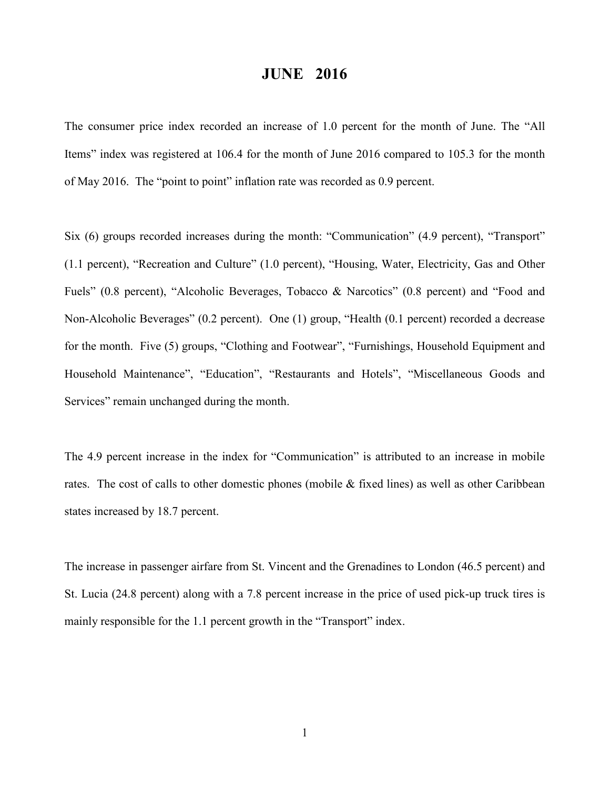### JUNE 2016

The consumer price index recorded an increase of 1.0 percent for the month of June. The "All Items" index was registered at 106.4 for the month of June 2016 compared to 105.3 for the month of May 2016. The "point to point" inflation rate was recorded as 0.9 percent.

Six (6) groups recorded increases during the month: "Communication" (4.9 percent), "Transport" (1.1 percent), "Recreation and Culture" (1.0 percent), "Housing, Water, Electricity, Gas and Other Fuels" (0.8 percent), "Alcoholic Beverages, Tobacco & Narcotics" (0.8 percent) and "Food and Non-Alcoholic Beverages" (0.2 percent). One (1) group, "Health (0.1 percent) recorded a decrease for the month. Five (5) groups, "Clothing and Footwear", "Furnishings, Household Equipment and Household Maintenance", "Education", "Restaurants and Hotels", "Miscellaneous Goods and Services" remain unchanged during the month.

The 4.9 percent increase in the index for "Communication" is attributed to an increase in mobile rates. The cost of calls to other domestic phones (mobile  $\&$  fixed lines) as well as other Caribbean states increased by 18.7 percent.

The increase in passenger airfare from St. Vincent and the Grenadines to London (46.5 percent) and St. Lucia (24.8 percent) along with a 7.8 percent increase in the price of used pick-up truck tires is mainly responsible for the 1.1 percent growth in the "Transport" index.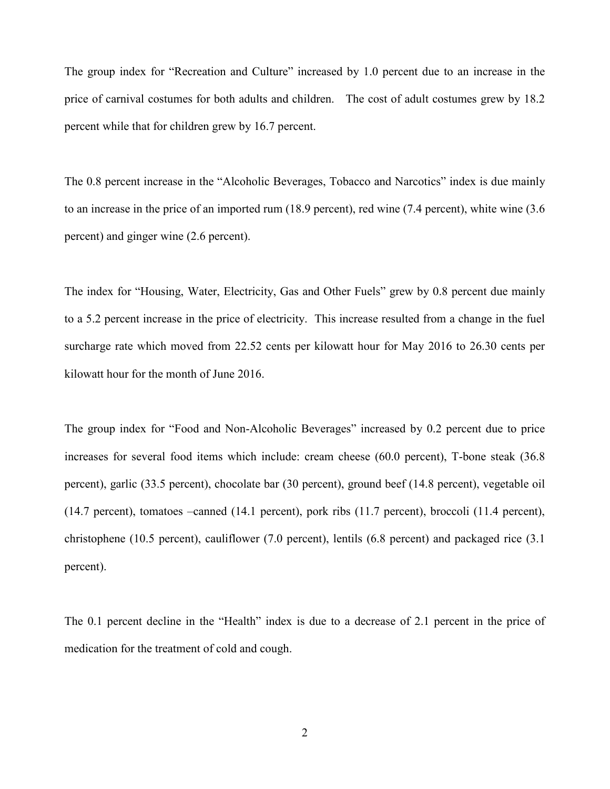The group index for "Recreation and Culture" increased by 1.0 percent due to an increase in the price of carnival costumes for both adults and children. The cost of adult costumes grew by 18.2 percent while that for children grew by 16.7 percent.

The 0.8 percent increase in the "Alcoholic Beverages, Tobacco and Narcotics" index is due mainly to an increase in the price of an imported rum (18.9 percent), red wine (7.4 percent), white wine (3.6 percent) and ginger wine (2.6 percent).

The index for "Housing, Water, Electricity, Gas and Other Fuels" grew by 0.8 percent due mainly to a 5.2 percent increase in the price of electricity. This increase resulted from a change in the fuel surcharge rate which moved from 22.52 cents per kilowatt hour for May 2016 to 26.30 cents per kilowatt hour for the month of June 2016.

The group index for "Food and Non-Alcoholic Beverages" increased by 0.2 percent due to price increases for several food items which include: cream cheese (60.0 percent), T-bone steak (36.8 percent), garlic (33.5 percent), chocolate bar (30 percent), ground beef (14.8 percent), vegetable oil (14.7 percent), tomatoes –canned (14.1 percent), pork ribs (11.7 percent), broccoli (11.4 percent), christophene (10.5 percent), cauliflower (7.0 percent), lentils (6.8 percent) and packaged rice (3.1 percent).

The 0.1 percent decline in the "Health" index is due to a decrease of 2.1 percent in the price of medication for the treatment of cold and cough.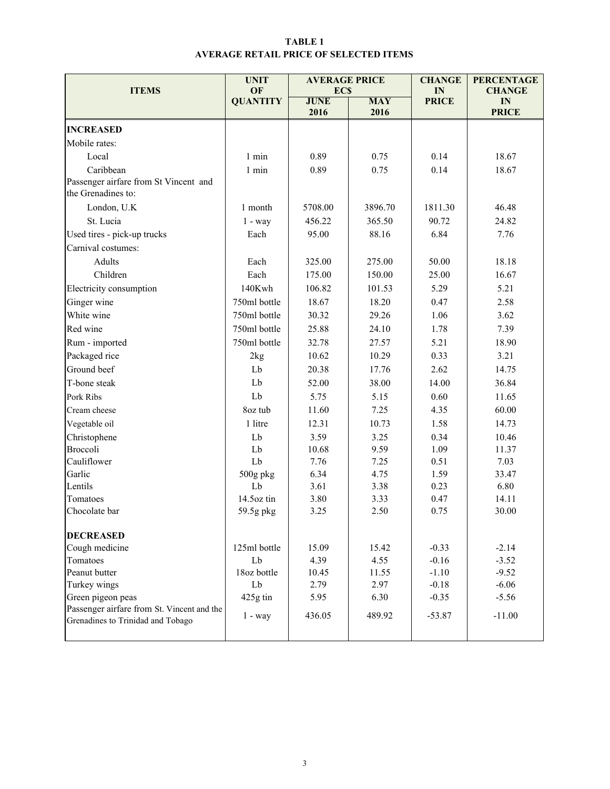#### TABLE 1 AVERAGE RETAIL PRICE OF SELECTED ITEMS

| <b>ITEMS</b>                                                                    | <b>UNIT</b><br>OF | <b>AVERAGE PRICE</b><br><b>ECS</b> |            | <b>CHANGE</b><br>IN | <b>PERCENTAGE</b><br><b>CHANGE</b> |  |
|---------------------------------------------------------------------------------|-------------------|------------------------------------|------------|---------------------|------------------------------------|--|
|                                                                                 | <b>QUANTITY</b>   | <b>JUNE</b>                        | <b>MAY</b> | <b>PRICE</b>        | IN                                 |  |
|                                                                                 |                   | 2016                               | 2016       |                     | <b>PRICE</b>                       |  |
| <b>INCREASED</b><br>Mobile rates:                                               |                   |                                    |            |                     |                                    |  |
|                                                                                 |                   |                                    |            | 0.14                |                                    |  |
| Local                                                                           | $1$ min           | 0.89                               | 0.75       |                     | 18.67                              |  |
| Caribbean<br>Passenger airfare from St Vincent and<br>the Grenadines to:        | 1 min             | 0.89                               | 0.75       | 0.14                | 18.67                              |  |
| London, U.K.                                                                    | 1 month           | 5708.00                            | 3896.70    | 1811.30             | 46.48                              |  |
| St. Lucia                                                                       | $1 - way$         | 456.22                             | 365.50     | 90.72               | 24.82                              |  |
| Used tires - pick-up trucks                                                     | Each              | 95.00                              | 88.16      | 6.84                | 7.76                               |  |
| Carnival costumes:                                                              |                   |                                    |            |                     |                                    |  |
| Adults                                                                          | Each              | 325.00                             | 275.00     | 50.00               | 18.18                              |  |
| Children                                                                        | Each              | 175.00                             | 150.00     | 25.00               | 16.67                              |  |
| Electricity consumption                                                         | 140Kwh            | 106.82                             | 101.53     | 5.29                | 5.21                               |  |
| Ginger wine                                                                     | 750ml bottle      | 18.67                              | 18.20      | 0.47                | 2.58                               |  |
| White wine                                                                      | 750ml bottle      | 30.32                              | 29.26      | 1.06                | 3.62                               |  |
| Red wine                                                                        | 750ml bottle      | 25.88                              | 24.10      | 1.78                | 7.39                               |  |
| Rum - imported                                                                  | 750ml bottle      | 32.78                              | 27.57      | 5.21                | 18.90                              |  |
| Packaged rice                                                                   | 2kg               | 10.62                              | 10.29      | 0.33                | 3.21                               |  |
| Ground beef                                                                     | Lb                | 20.38                              | 17.76      | 2.62                | 14.75                              |  |
| T-bone steak                                                                    | Lb                | 52.00                              | 38.00      | 14.00               | 36.84                              |  |
| Pork Ribs                                                                       | Lb                | 5.75                               | 5.15       | 0.60                | 11.65                              |  |
| Cream cheese                                                                    | 8oz tub           | 11.60                              | 7.25       | 4.35                | 60.00                              |  |
| Vegetable oil                                                                   | 1 litre           | 12.31                              | 10.73      | 1.58                | 14.73                              |  |
| Christophene                                                                    | Lb                | 3.59                               | 3.25       | 0.34                | 10.46                              |  |
| <b>Broccoli</b>                                                                 | Lb                | 10.68                              | 9.59       | 1.09                | 11.37                              |  |
| Cauliflower                                                                     | Lb                | 7.76                               | 7.25       | 0.51                | 7.03                               |  |
| Garlic                                                                          | 500g pkg          | 6.34                               | 4.75       | 1.59                | 33.47                              |  |
| Lentils                                                                         | Lb                | 3.61                               | 3.38       | 0.23                | 6.80                               |  |
| Tomatoes                                                                        | 14.5oz tin        | 3.80                               | 3.33       | 0.47                | 14.11                              |  |
| Chocolate bar                                                                   | 59.5g pkg         | 3.25                               | 2.50       | 0.75                | 30.00                              |  |
| <b>DECREASED</b>                                                                |                   |                                    |            |                     |                                    |  |
| Cough medicine                                                                  | 125ml bottle      | 15.09                              | 15.42      | $-0.33$             | $-2.14$                            |  |
| Tomatoes                                                                        | Lb                | 4.39                               | 4.55       | $-0.16$             | $-3.52$                            |  |
| Peanut butter<br>18oz bottle                                                    |                   | 10.45                              | 11.55      | $-1.10$             | $-9.52$                            |  |
| Turkey wings                                                                    | Lb                | 2.79                               | 2.97       | $-0.18$             | $-6.06$                            |  |
| Green pigeon peas                                                               | 425g tin          | 5.95                               | 6.30       | $-0.35$             | $-5.56$                            |  |
| Passenger airfare from St. Vincent and the<br>Grenadines to Trinidad and Tobago | $1 - way$         | 436.05                             | 489.92     | $-53.87$            | $-11.00$                           |  |
|                                                                                 |                   |                                    |            |                     |                                    |  |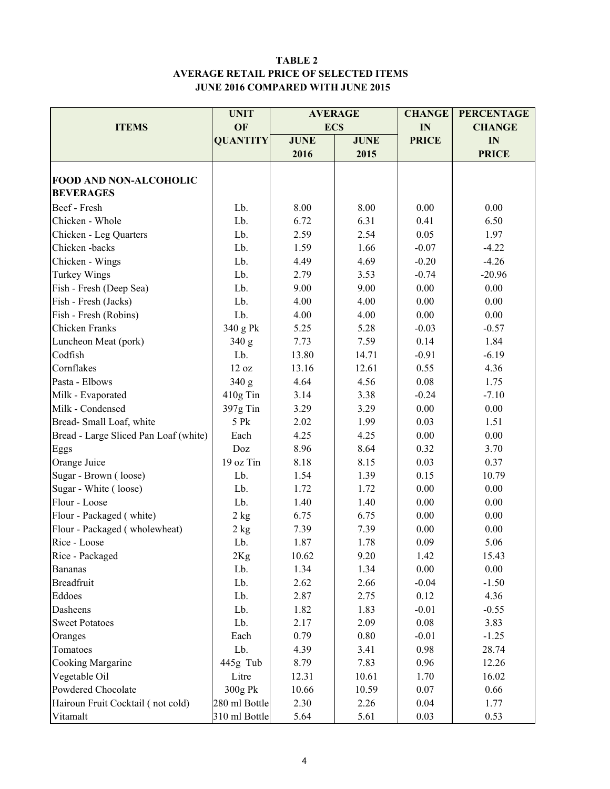#### TABLE 2 AVERAGE RETAIL PRICE OF SELECTED ITEMS JUNE 2016 COMPARED WITH JUNE 2015

|                                       | <b>UNIT</b>     |             | <b>AVERAGE</b> | <b>CHANGE</b> | <b>PERCENTAGE</b> |  |
|---------------------------------------|-----------------|-------------|----------------|---------------|-------------------|--|
| <b>ITEMS</b>                          | OF              | <b>ECS</b>  |                | IN            | <b>CHANGE</b>     |  |
|                                       | <b>QUANTITY</b> | <b>JUNE</b> | <b>JUNE</b>    | <b>PRICE</b>  | IN                |  |
|                                       |                 | 2016        | 2015           |               | <b>PRICE</b>      |  |
|                                       |                 |             |                |               |                   |  |
| FOOD AND NON-ALCOHOLIC                |                 |             |                |               |                   |  |
| <b>BEVERAGES</b>                      |                 |             |                |               |                   |  |
| Beef - Fresh                          | Lb.             | 8.00        | 8.00           | 0.00          | 0.00              |  |
| Chicken - Whole                       | Lb.             | 6.72        | 6.31           | 0.41          | 6.50              |  |
| Chicken - Leg Quarters                | Lb.             | 2.59        | 2.54           | 0.05          | 1.97              |  |
| Chicken-backs                         | Lb.             | 1.59        | 1.66           | $-0.07$       | $-4.22$           |  |
| Chicken - Wings                       | Lb.             | 4.49        | 4.69           | $-0.20$       | $-4.26$           |  |
| Turkey Wings                          | Lb.             | 2.79        | 3.53           | $-0.74$       | $-20.96$          |  |
| Fish - Fresh (Deep Sea)               | Lb.             | 9.00        | 9.00           | 0.00          | 0.00              |  |
| Fish - Fresh (Jacks)                  | Lb.             | 4.00        | 4.00           | 0.00          | 0.00              |  |
| Fish - Fresh (Robins)                 | Lb.             | 4.00        | 4.00           | 0.00          | 0.00              |  |
| Chicken Franks                        | 340 g Pk        | 5.25        | 5.28           | $-0.03$       | $-0.57$           |  |
| Luncheon Meat (pork)                  | 340 g           | 7.73        | 7.59           | 0.14          | 1.84              |  |
| Codfish                               | Lb.             | 13.80       | 14.71          | $-0.91$       | $-6.19$           |  |
| Cornflakes                            | 12 oz           | 13.16       | 12.61          | 0.55          | 4.36              |  |
| Pasta - Elbows                        | 340 g           | 4.64        | 4.56           | 0.08          | 1.75              |  |
| Milk - Evaporated                     | 410g Tin        | 3.14        | 3.38           | $-0.24$       | $-7.10$           |  |
| Milk - Condensed                      | 397g Tin        | 3.29        | 3.29           | 0.00          | 0.00              |  |
| Bread-Small Loaf, white               | 5 Pk            | 2.02        | 1.99           | 0.03          | 1.51              |  |
| Bread - Large Sliced Pan Loaf (white) | Each            | 4.25        | 4.25           | 0.00          | 0.00              |  |
| Eggs                                  | Doz             | 8.96        | 8.64           | 0.32          | 3.70              |  |
| Orange Juice                          | 19 oz Tin       | 8.18        | 8.15           | 0.03          | 0.37              |  |
| Sugar - Brown (loose)                 | Lb.             | 1.54        | 1.39           | 0.15          | 10.79             |  |
| Sugar - White (loose)                 | Lb.             | 1.72        | 1.72           | 0.00          | 0.00              |  |
| Flour - Loose                         | Lb.             | 1.40        | 1.40           | 0.00          | 0.00              |  |
| Flour - Packaged (white)              | $2$ kg          | 6.75        | 6.75           | 0.00          | 0.00              |  |
| Flour - Packaged (wholewheat)         | 2 kg            | 7.39        | 7.39           | 0.00          | 0.00              |  |
| Rice - Loose                          | Lb.             | 1.87        | 1.78           | 0.09          | 5.06              |  |
| Rice - Packaged                       | 2Kg             | 10.62       | 9.20           | 1.42          | 15.43             |  |
| <b>Bananas</b>                        | Lb.             | 1.34        | 1.34           | 0.00          | 0.00              |  |
| <b>Breadfruit</b>                     | Lb.             | 2.62        | 2.66           | $-0.04$       | $-1.50$           |  |
| Eddoes                                | Lb.             | 2.87        | 2.75           | 0.12          | 4.36              |  |
| Dasheens                              | Lb.             | 1.82        | 1.83           | $-0.01$       | $-0.55$           |  |
| <b>Sweet Potatoes</b>                 | Lb.             | 2.17        | 2.09           | 0.08          | 3.83              |  |
| Oranges                               | Each            | 0.79        | 0.80           | $-0.01$       | $-1.25$           |  |
| Tomatoes                              | Lb.             | 4.39        | 3.41           | 0.98          | 28.74             |  |
| Cooking Margarine                     | 445g Tub        | 8.79        | 7.83           | 0.96          | 12.26             |  |
| Vegetable Oil                         | Litre           | 12.31       | 10.61          | 1.70          | 16.02             |  |
| Powdered Chocolate                    | 300g Pk         | 10.66       | 10.59          | 0.07          | 0.66              |  |
| Hairoun Fruit Cocktail (not cold)     | 280 ml Bottle   | 2.30        | 2.26           | 0.04          | 1.77              |  |
| Vitamalt                              | 310 ml Bottle   | 5.64        | 5.61           | 0.03          | 0.53              |  |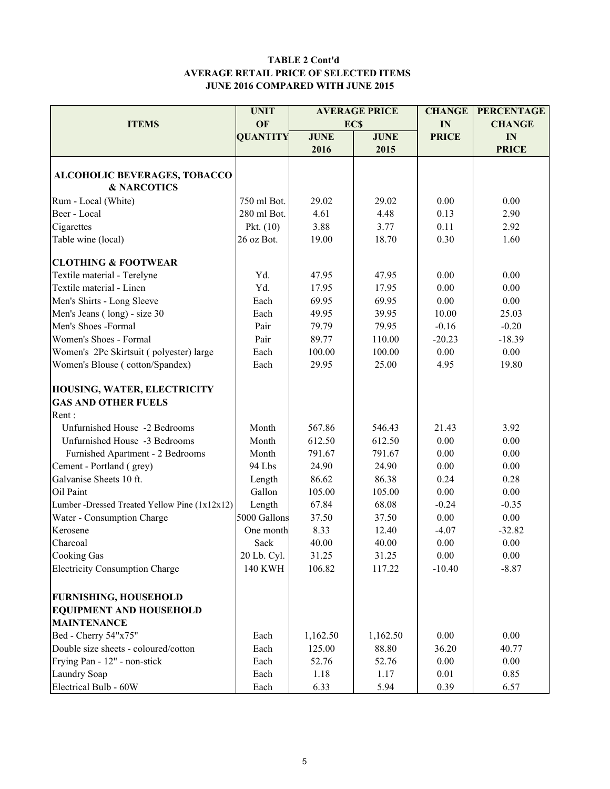#### TABLE 2 Cont'd AVERAGE RETAIL PRICE OF SELECTED ITEMS JUNE 2016 COMPARED WITH JUNE 2015

|                                               | <b>UNIT</b>     |             | <b>AVERAGE PRICE</b> | <b>CHANGE</b> | <b>PERCENTAGE</b> |  |
|-----------------------------------------------|-----------------|-------------|----------------------|---------------|-------------------|--|
| <b>ITEMS</b>                                  | OF              |             | <b>ECS</b>           | IN            | <b>CHANGE</b>     |  |
|                                               | <b>QUANTITY</b> | <b>JUNE</b> | <b>JUNE</b>          | <b>PRICE</b>  | IN                |  |
|                                               |                 | 2016        | 2015                 |               | <b>PRICE</b>      |  |
|                                               |                 |             |                      |               |                   |  |
| ALCOHOLIC BEVERAGES, TOBACCO                  |                 |             |                      |               |                   |  |
| <b>&amp; NARCOTICS</b>                        |                 |             |                      |               |                   |  |
| Rum - Local (White)                           | 750 ml Bot.     | 29.02       | 29.02                | 0.00          | 0.00              |  |
| Beer - Local                                  | 280 ml Bot.     | 4.61        | 4.48                 | 0.13          | 2.90              |  |
| Cigarettes                                    | Pkt. $(10)$     | 3.88        | 3.77                 | 0.11          | 2.92              |  |
| Table wine (local)                            | 26 oz Bot.      | 19.00       | 18.70                | 0.30          | 1.60              |  |
| <b>CLOTHING &amp; FOOTWEAR</b>                |                 |             |                      |               |                   |  |
| Textile material - Terelyne                   | Yd.             | 47.95       | 47.95                | 0.00          | 0.00              |  |
| Textile material - Linen                      | Yd.             | 17.95       | 17.95                | 0.00          | 0.00              |  |
| Men's Shirts - Long Sleeve                    | Each            | 69.95       | 69.95                | 0.00          | 0.00              |  |
| Men's Jeans (long) - size 30                  | Each            | 49.95       | 39.95                | 10.00         | 25.03             |  |
| Men's Shoes -Formal                           | Pair            | 79.79       | 79.95                | $-0.16$       | $-0.20$           |  |
| Women's Shoes - Formal                        | Pair            | 89.77       | 110.00               | $-20.23$      | $-18.39$          |  |
| Women's 2Pc Skirtsuit (polyester) large       | Each            | 100.00      | 100.00               | 0.00          | 0.00              |  |
| Women's Blouse (cotton/Spandex)               | Each            | 29.95       | 25.00                | 4.95          | 19.80             |  |
| HOUSING, WATER, ELECTRICITY                   |                 |             |                      |               |                   |  |
| <b>GAS AND OTHER FUELS</b>                    |                 |             |                      |               |                   |  |
| Rent:                                         |                 |             |                      |               |                   |  |
| Unfurnished House -2 Bedrooms                 | Month           | 567.86      | 546.43               | 21.43         | 3.92              |  |
| Unfurnished House -3 Bedrooms                 | Month           | 612.50      | 612.50               | 0.00          | 0.00              |  |
|                                               |                 | 791.67      | 791.67               | 0.00          |                   |  |
| Furnished Apartment - 2 Bedrooms              | Month           |             |                      |               | 0.00              |  |
| Cement - Portland (grey)                      | 94 Lbs          | 24.90       | 24.90                | 0.00          | 0.00              |  |
| Galvanise Sheets 10 ft.                       | Length          | 86.62       | 86.38                | 0.24          | 0.28              |  |
| Oil Paint                                     | Gallon          | 105.00      | 105.00               | 0.00          | 0.00              |  |
| Lumber -Dressed Treated Yellow Pine (1x12x12) | Length          | 67.84       | 68.08                | $-0.24$       | $-0.35$           |  |
| Water - Consumption Charge                    | 5000 Gallons    | 37.50       | 37.50                | 0.00          | 0.00              |  |
| Kerosene                                      | One month       | 8.33        | 12.40                | $-4.07$       | $-32.82$          |  |
| Charcoal                                      | Sack            | 40.00       | 40.00                | 0.00          | 0.00              |  |
| Cooking Gas                                   | 20 Lb. Cyl.     | 31.25       | 31.25                | 0.00          | 0.00              |  |
| <b>Electricity Consumption Charge</b>         | <b>140 KWH</b>  | 106.82      | 117.22               | $-10.40$      | $-8.87$           |  |
| <b>FURNISHING, HOUSEHOLD</b>                  |                 |             |                      |               |                   |  |
| <b>EQUIPMENT AND HOUSEHOLD</b>                |                 |             |                      |               |                   |  |
| <b>MAINTENANCE</b>                            |                 |             |                      |               |                   |  |
| Bed - Cherry 54"x75"                          | Each            | 1,162.50    | 1,162.50             | 0.00          | 0.00              |  |
| Double size sheets - coloured/cotton          | Each            | 125.00      | 88.80                | 36.20         | 40.77             |  |
| Frying Pan - 12" - non-stick                  | Each            | 52.76       | 52.76                | 0.00          | 0.00              |  |
| Laundry Soap                                  | Each            | 1.18        | 1.17                 | 0.01          | 0.85              |  |
| Electrical Bulb - 60W                         | Each            | 6.33        | 5.94                 | 0.39          | 6.57              |  |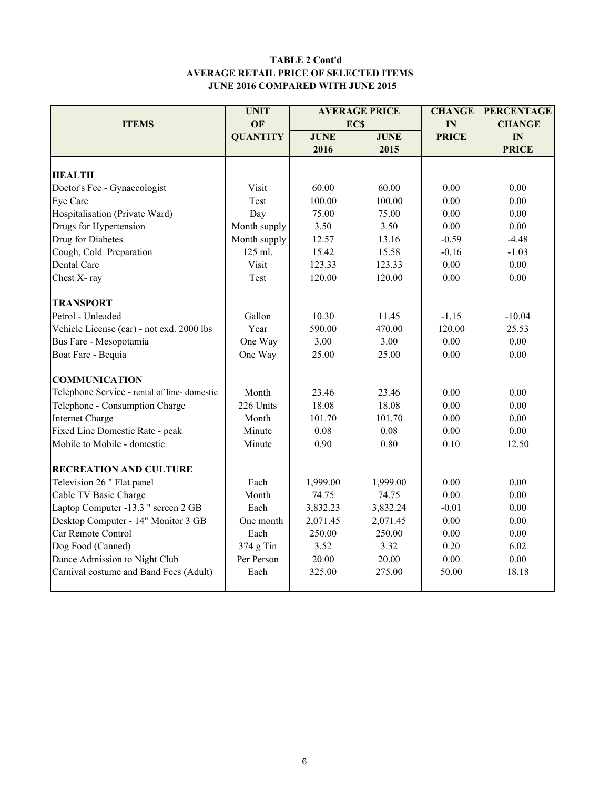#### TABLE 2 Cont'd AVERAGE RETAIL PRICE OF SELECTED ITEMS JUNE 2016 COMPARED WITH JUNE 2015

|                                             | <b>UNIT</b>     |             | <b>AVERAGE PRICE</b> | <b>CHANGE</b> | <b>PERCENTAGE</b> |
|---------------------------------------------|-----------------|-------------|----------------------|---------------|-------------------|
| <b>ITEMS</b>                                | OF              | <b>ECS</b>  |                      | IN            | <b>CHANGE</b>     |
|                                             | <b>QUANTITY</b> | <b>JUNE</b> | <b>JUNE</b>          | <b>PRICE</b>  | IN                |
|                                             |                 | 2016        | 2015                 |               | <b>PRICE</b>      |
|                                             |                 |             |                      |               |                   |
| <b>HEALTH</b>                               |                 |             |                      |               |                   |
| Doctor's Fee - Gynaecologist                | Visit           | 60.00       | 60.00                | 0.00          | 0.00              |
| Eye Care                                    | Test            | 100.00      | 100.00               | 0.00          | 0.00              |
| Hospitalisation (Private Ward)              | Day             | 75.00       | 75.00                | 0.00          | 0.00              |
| Drugs for Hypertension                      | Month supply    | 3.50        | 3.50                 | 0.00          | 0.00              |
| Drug for Diabetes                           | Month supply    | 12.57       | 13.16                | $-0.59$       | $-4.48$           |
| Cough, Cold Preparation                     | 125 ml.         | 15.42       | 15.58                | $-0.16$       | $-1.03$           |
| Dental Care                                 | Visit           | 123.33      | 123.33               | 0.00          | 0.00              |
| Chest X-ray                                 | Test            | 120.00      | 120.00               | 0.00          | 0.00              |
| <b>TRANSPORT</b>                            |                 |             |                      |               |                   |
| Petrol - Unleaded                           | Gallon          | 10.30       | 11.45                | $-1.15$       | $-10.04$          |
| Vehicle License (car) - not exd. 2000 lbs   | Year            | 590.00      | 470.00               | 120.00        | 25.53             |
| Bus Fare - Mesopotamia                      | One Way         | 3.00        | 3.00                 | 0.00          | 0.00              |
| Boat Fare - Bequia                          | One Way         | 25.00       | 25.00                | 0.00          | 0.00              |
| <b>COMMUNICATION</b>                        |                 |             |                      |               |                   |
| Telephone Service - rental of line-domestic | Month           | 23.46       | 23.46                | 0.00          | 0.00              |
| Telephone - Consumption Charge              | 226 Units       | 18.08       | 18.08                | 0.00          | 0.00              |
| <b>Internet Charge</b>                      | Month           | 101.70      | 101.70               | 0.00          | 0.00              |
| Fixed Line Domestic Rate - peak             | Minute          | 0.08        | 0.08                 | 0.00          | 0.00              |
| Mobile to Mobile - domestic                 | Minute          | 0.90        | 0.80                 | 0.10          | 12.50             |
| <b>RECREATION AND CULTURE</b>               |                 |             |                      |               |                   |
| Television 26 " Flat panel                  | Each            | 1,999.00    | 1,999.00             | 0.00          | 0.00              |
| Cable TV Basic Charge                       | Month           | 74.75       | 74.75                | 0.00          | $0.00\,$          |
| Laptop Computer -13.3 " screen 2 GB         | Each            | 3,832.23    | 3,832.24             | $-0.01$       | 0.00              |
| Desktop Computer - 14" Monitor 3 GB         | One month       | 2,071.45    | 2,071.45             | 0.00          | 0.00              |
| Car Remote Control                          | Each            | 250.00      | 250.00               | 0.00          | 0.00              |
| Dog Food (Canned)                           | 374 g Tin       | 3.52        | 3.32                 | 0.20          | 6.02              |
| Dance Admission to Night Club               | Per Person      | 20.00       | 20.00                | 0.00          | 0.00              |
| Carnival costume and Band Fees (Adult)      | Each            | 325.00      | 275.00               | 50.00         | 18.18             |
|                                             |                 |             |                      |               |                   |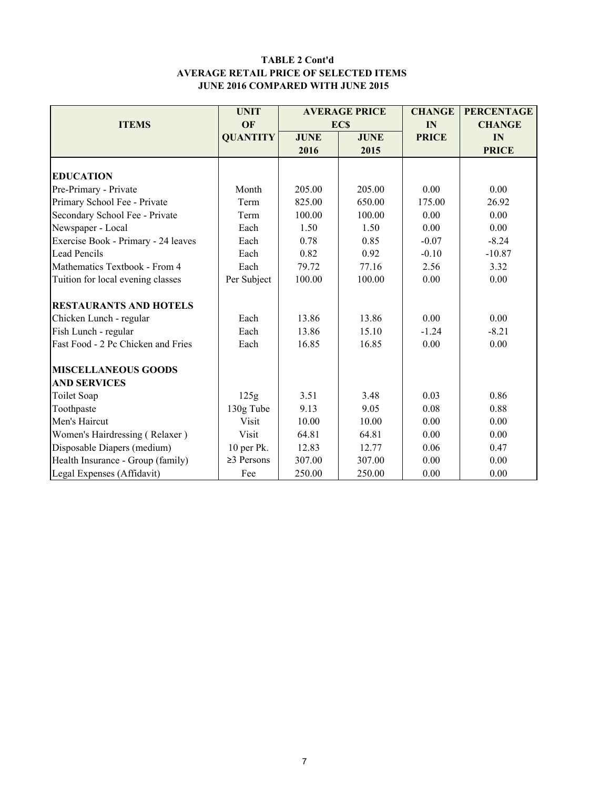#### TABLE 2 Cont'd AVERAGE RETAIL PRICE OF SELECTED ITEMS JUNE 2016 COMPARED WITH JUNE 2015

|                                     | <b>UNIT</b>      |                            | <b>AVERAGE PRICE</b> | <b>CHANGE</b> | <b>PERCENTAGE</b> |
|-------------------------------------|------------------|----------------------------|----------------------|---------------|-------------------|
| <b>ITEMS</b>                        | OF               |                            | <b>ECS</b>           | IN            | <b>CHANGE</b>     |
|                                     | <b>QUANTITY</b>  | <b>JUNE</b><br><b>JUNE</b> |                      | <b>PRICE</b>  | IN                |
|                                     |                  | 2016                       | 2015                 |               | <b>PRICE</b>      |
|                                     |                  |                            |                      |               |                   |
| <b>EDUCATION</b>                    |                  |                            |                      |               |                   |
| Pre-Primary - Private               | Month            | 205.00                     | 205.00               | 0.00          | 0.00              |
| Primary School Fee - Private        | Term             | 825.00                     | 650.00               | 175.00        | 26.92             |
| Secondary School Fee - Private      | Term             | 100.00                     | 100.00               | 0.00          | 0.00              |
| Newspaper - Local                   | Each             | 1.50                       | 1.50                 | 0.00          | 0.00              |
| Exercise Book - Primary - 24 leaves | Each             | 0.78                       | 0.85                 | $-0.07$       | $-8.24$           |
| <b>Lead Pencils</b>                 | Each             | 0.82                       | 0.92                 | $-0.10$       | $-10.87$          |
| Mathematics Textbook - From 4       | Each             | 79.72                      | 77.16                | 2.56          | 3.32              |
| Tuition for local evening classes   | Per Subject      | 100.00                     | 100.00               | 0.00          | 0.00              |
| <b>RESTAURANTS AND HOTELS</b>       |                  |                            |                      |               |                   |
| Chicken Lunch - regular             | Each             | 13.86                      | 13.86                | 0.00          | 0.00              |
| Fish Lunch - regular                | Each             | 13.86                      | 15.10                | $-1.24$       | $-8.21$           |
| Fast Food - 2 Pc Chicken and Fries  | Each             | 16.85                      | 16.85                | 0.00          | 0.00              |
| <b>MISCELLANEOUS GOODS</b>          |                  |                            |                      |               |                   |
| <b>AND SERVICES</b>                 |                  |                            |                      |               |                   |
| Toilet Soap                         | 125g             | 3.51                       | 3.48                 | 0.03          | 0.86              |
| Toothpaste                          | 130g Tube        | 9.13                       | 9.05                 | 0.08          | 0.88              |
| Men's Haircut                       | Visit            | 10.00                      | 10.00                | 0.00          | 0.00              |
| Women's Hairdressing (Relaxer)      | Visit            | 64.81                      | 64.81                | 0.00          | 0.00              |
| Disposable Diapers (medium)         | 10 per Pk.       | 12.83                      | 12.77                | 0.06          | 0.47              |
| Health Insurance - Group (family)   | $\geq$ 3 Persons | 307.00                     | 307.00               | 0.00          | 0.00              |
| Legal Expenses (Affidavit)          | Fee              | 250.00                     | 250.00               | 0.00          | 0.00              |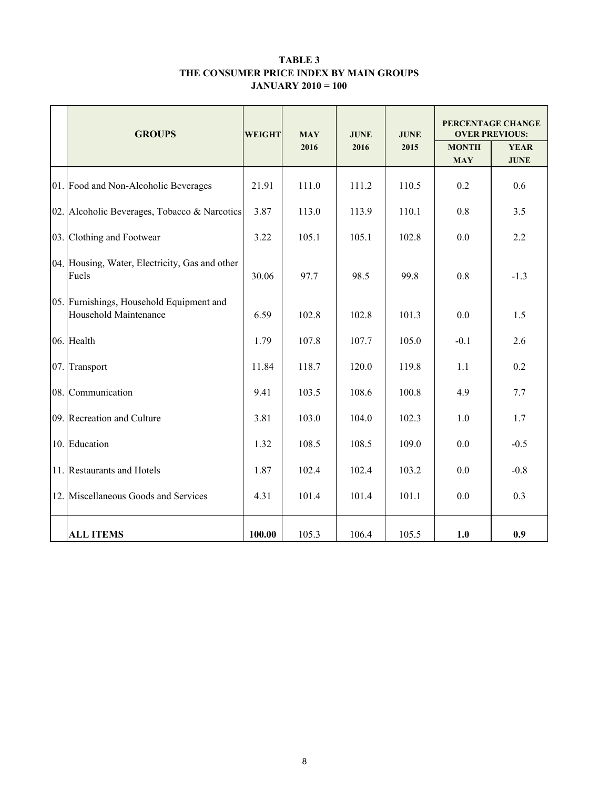#### TABLE 3 THE CONSUMER PRICE INDEX BY MAIN GROUPS JANUARY 2010 = 100

|     | <b>GROUPS</b>                                                     | <b>WEIGHT</b> | <b>MAY</b> | <b>JUNE</b> | <b>JUNE</b> | PERCENTAGE CHANGE<br><b>OVER PREVIOUS:</b> |                            |  |
|-----|-------------------------------------------------------------------|---------------|------------|-------------|-------------|--------------------------------------------|----------------------------|--|
|     |                                                                   |               | 2016       | 2016        | 2015        | <b>MONTH</b><br><b>MAY</b>                 | <b>YEAR</b><br><b>JUNE</b> |  |
|     | 01. Food and Non-Alcoholic Beverages                              | 21.91         | 111.0      | 111.2       | 110.5       | 0.2                                        | 0.6                        |  |
|     | 02. Alcoholic Beverages, Tobacco & Narcotics                      | 3.87          | 113.0      | 113.9       | 110.1       | 0.8                                        | 3.5                        |  |
|     | 03. Clothing and Footwear                                         | 3.22          | 105.1      | 105.1       | 102.8       | 0.0                                        | 2.2                        |  |
|     | 04. Housing, Water, Electricity, Gas and other<br>Fuels           | 30.06         | 97.7       | 98.5        | 99.8        | 0.8                                        | $-1.3$                     |  |
|     | 05. Furnishings, Household Equipment and<br>Household Maintenance | 6.59          | 102.8      | 102.8       | 101.3       | 0.0                                        | 1.5                        |  |
|     | 06. Health                                                        | 1.79          | 107.8      | 107.7       | 105.0       | $-0.1$                                     | 2.6                        |  |
| 07. | Transport                                                         | 11.84         | 118.7      | 120.0       | 119.8       | 1.1                                        | 0.2                        |  |
|     | 08. Communication                                                 | 9.41          | 103.5      | 108.6       | 100.8       | 4.9                                        | 7.7                        |  |
|     | 09. Recreation and Culture                                        | 3.81          | 103.0      | 104.0       | 102.3       | 1.0                                        | 1.7                        |  |
|     | 10. Education                                                     | 1.32          | 108.5      | 108.5       | 109.0       | 0.0                                        | $-0.5$                     |  |
|     | 11. Restaurants and Hotels                                        | 1.87          | 102.4      | 102.4       | 103.2       | 0.0                                        | $-0.8$                     |  |
|     | 12. Miscellaneous Goods and Services                              | 4.31          | 101.4      | 101.4       | 101.1       | 0.0                                        | 0.3                        |  |
|     | <b>ALL ITEMS</b>                                                  | 100.00        | 105.3      | 106.4       | 105.5       | 1.0                                        | 0.9                        |  |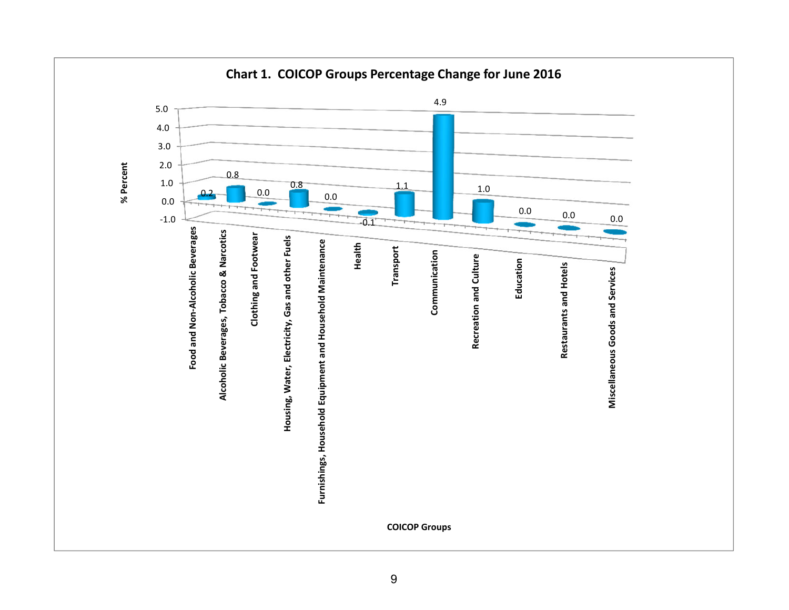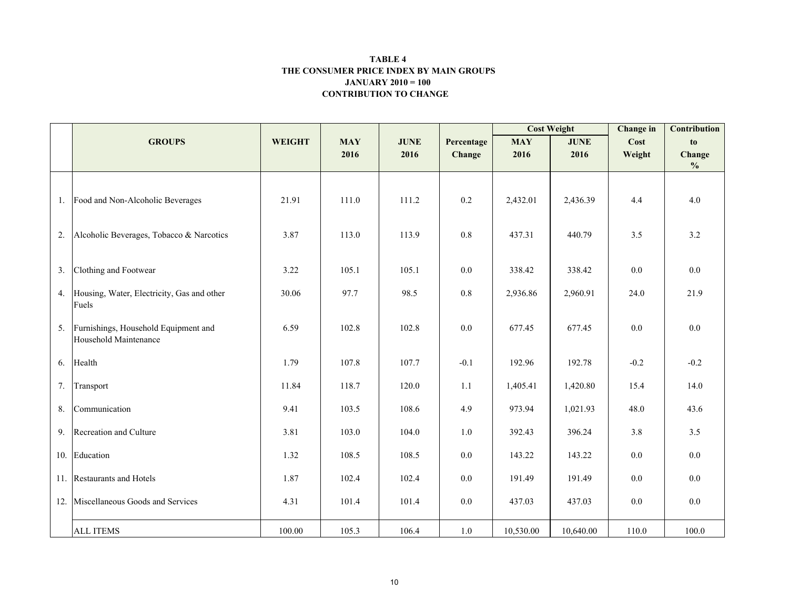#### CONTRIBUTION TO CHANGE TABLE 4 THE CONSUMER PRICE INDEX BY MAIN GROUPSJANUARY 2010 = 100

|     |                                                               |               |            |             |            | <b>Cost Weight</b> |             | <b>Change</b> in | <b>Contribution</b> |
|-----|---------------------------------------------------------------|---------------|------------|-------------|------------|--------------------|-------------|------------------|---------------------|
|     | <b>GROUPS</b>                                                 | <b>WEIGHT</b> | <b>MAY</b> | <b>JUNE</b> | Percentage | <b>MAY</b>         | <b>JUNE</b> | Cost             | to                  |
|     |                                                               |               | 2016       | 2016        | Change     | 2016               | 2016        | Weight           | Change              |
|     |                                                               |               |            |             |            |                    |             |                  | $\frac{0}{0}$       |
|     | 1. Food and Non-Alcoholic Beverages                           | 21.91         | 111.0      | 111.2       | 0.2        | 2,432.01           | 2,436.39    | 4.4              | 4.0                 |
| 2.  | Alcoholic Beverages, Tobacco & Narcotics                      | 3.87          | 113.0      | 113.9       | 0.8        | 437.31             | 440.79      | 3.5              | 3.2                 |
| 3.  | Clothing and Footwear                                         | 3.22          | 105.1      | 105.1       | $0.0\,$    | 338.42             | 338.42      | $0.0\,$          | 0.0                 |
| 4.  | Housing, Water, Electricity, Gas and other<br>Fuels           | 30.06         | 97.7       | 98.5        | $0.8\,$    | 2,936.86           | 2,960.91    | 24.0             | 21.9                |
| 5.  | Furnishings, Household Equipment and<br>Household Maintenance | 6.59          | 102.8      | 102.8       | 0.0        | 677.45             | 677.45      | 0.0              | 0.0                 |
| 6.  | Health                                                        | 1.79          | 107.8      | 107.7       | $-0.1$     | 192.96             | 192.78      | $-0.2$           | $-0.2$              |
| 7.  | Transport                                                     | 11.84         | 118.7      | 120.0       | 1.1        | 1,405.41           | 1,420.80    | 15.4             | 14.0                |
| 8.  | Communication                                                 | 9.41          | 103.5      | 108.6       | 4.9        | 973.94             | 1,021.93    | 48.0             | 43.6                |
| 9.  | Recreation and Culture                                        | 3.81          | 103.0      | 104.0       | 1.0        | 392.43             | 396.24      | 3.8              | 3.5                 |
|     | 10. Education                                                 | 1.32          | 108.5      | 108.5       | $0.0\,$    | 143.22             | 143.22      | 0.0              | 0.0                 |
|     | 11. Restaurants and Hotels                                    | 1.87          | 102.4      | 102.4       | 0.0        | 191.49             | 191.49      | 0.0              | 0.0                 |
| 12. | Miscellaneous Goods and Services                              | 4.31          | 101.4      | 101.4       | $0.0\,$    | 437.03             | 437.03      | 0.0              | 0.0                 |
|     | <b>ALL ITEMS</b>                                              | 100.00        | 105.3      | 106.4       | 1.0        | 10,530.00          | 10,640.00   | 110.0            | 100.0               |